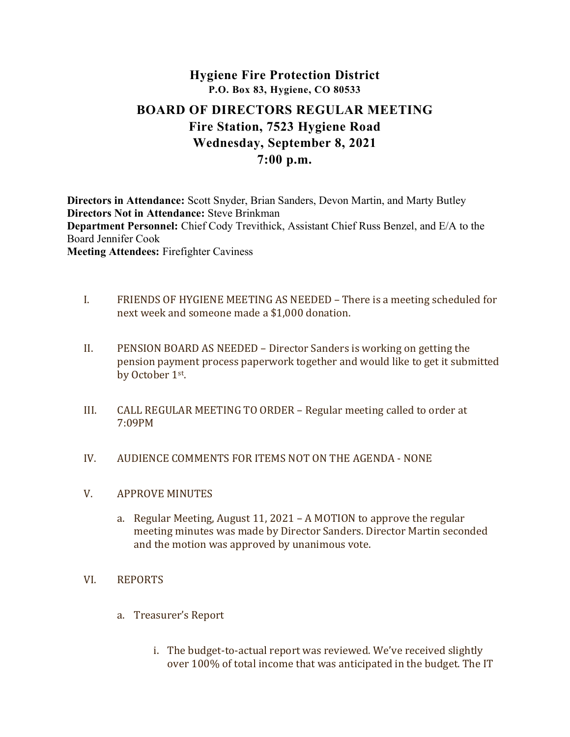# Hygiene Fire Protection District P.O. Box 83, Hygiene, CO 80533 BOARD OF DIRECTORS REGULAR MEETING Fire Station, 7523 Hygiene Road Wednesday, September 8, 2021

# 7:00 p.m.

Directors in Attendance: Scott Snyder, Brian Sanders, Devon Martin, and Marty Butley Directors Not in Attendance: Steve Brinkman Department Personnel: Chief Cody Trevithick, Assistant Chief Russ Benzel, and E/A to the Board Jennifer Cook Meeting Attendees: Firefighter Caviness

- I. FRIENDS OF HYGIENE MEETING AS NEEDED There is a meeting scheduled for next week and someone made a \$1,000 donation.
- II. PENSION BOARD AS NEEDED Director Sanders is working on getting the pension payment process paperwork together and would like to get it submitted by October 1st .
- III. CALL REGULAR MEETING TO ORDER Regular meeting called to order at 7:09PM
- IV. AUDIENCE COMMENTS FOR ITEMS NOT ON THE AGENDA NONE
- V. APPROVE MINUTES
	- a. Regular Meeting, August 11, 2021 A MOTION to approve the regular meeting minutes was made by Director Sanders. Director Martin seconded and the motion was approved by unanimous vote.

## VI. REPORTS

- a. Treasurer's Report
	- i. The budget-to-actual report was reviewed. We've received slightly over 100% of total income that was anticipated in the budget. The IT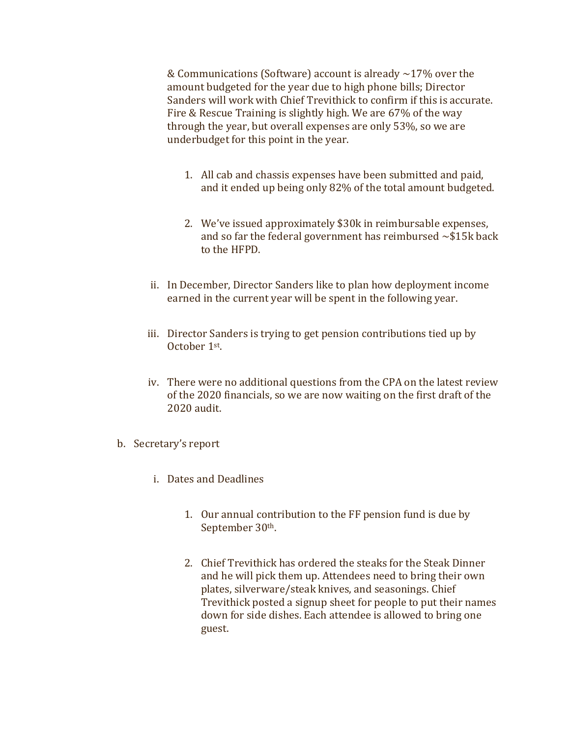& Communications (Software) account is already ~17% over the amount budgeted for the year due to high phone bills; Director Sanders will work with Chief Trevithick to confirm if this is accurate. Fire & Rescue Training is slightly high. We are 67% of the way through the year, but overall expenses are only 53%, so we are underbudget for this point in the year.

- 1. All cab and chassis expenses have been submitted and paid, and it ended up being only 82% of the total amount budgeted.
- 2. We've issued approximately \$30k in reimbursable expenses, and so far the federal government has reimbursed  $\sim$ \$15k back to the HFPD.
- ii. In December, Director Sanders like to plan how deployment income earned in the current year will be spent in the following year.
- iii. Director Sanders is trying to get pension contributions tied up by October 1st .
- iv. There were no additional questions from the CPA on the latest review of the 2020 financials, so we are now waiting on the first draft of the 2020 audit.
- b. Secretary's report
	- i. Dates and Deadlines
		- 1. Our annual contribution to the FF pension fund is due by September 30<sup>th</sup>.
		- 2. Chief Trevithick has ordered the steaks for the Steak Dinner and he will pick them up. Attendees need to bring their own plates, silverware/steak knives, and seasonings. Chief Trevithick posted a signup sheet for people to put their names down for side dishes. Each attendee is allowed to bring one guest.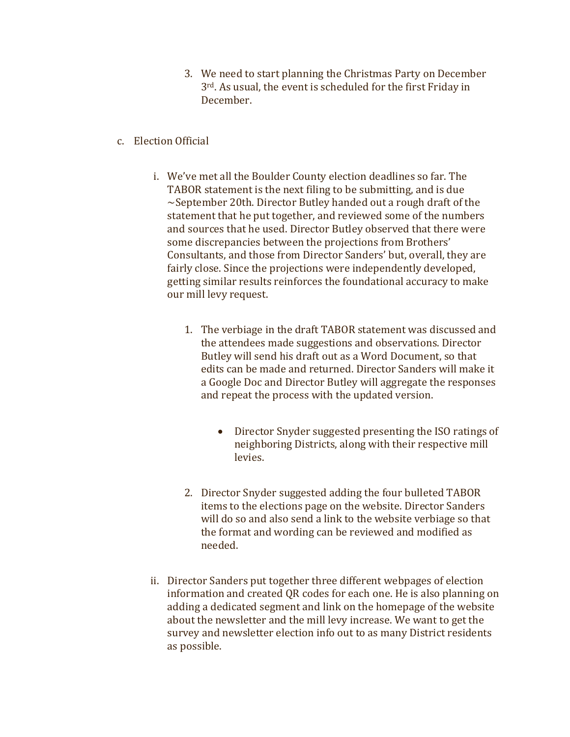- 3. We need to start planning the Christmas Party on December 3rd. As usual, the event is scheduled for the first Friday in December.
- c. Election Official
	- i. We've met all the Boulder County election deadlines so far. The TABOR statement is the next filing to be submitting, and is due  $\sim$ September 20th. Director Butley handed out a rough draft of the statement that he put together, and reviewed some of the numbers and sources that he used. Director Butley observed that there were some discrepancies between the projections from Brothers' Consultants, and those from Director Sanders' but, overall, they are fairly close. Since the projections were independently developed, getting similar results reinforces the foundational accuracy to make our mill levy request.
		- 1. The verbiage in the draft TABOR statement was discussed and the attendees made suggestions and observations. Director Butley will send his draft out as a Word Document, so that edits can be made and returned. Director Sanders will make it a Google Doc and Director Butley will aggregate the responses and repeat the process with the updated version.
			- Director Snyder suggested presenting the ISO ratings of neighboring Districts, along with their respective mill levies.
		- 2. Director Snyder suggested adding the four bulleted TABOR items to the elections page on the website. Director Sanders will do so and also send a link to the website verbiage so that the format and wording can be reviewed and modified as needed.
	- ii. Director Sanders put together three different webpages of election information and created QR codes for each one. He is also planning on adding a dedicated segment and link on the homepage of the website about the newsletter and the mill levy increase. We want to get the survey and newsletter election info out to as many District residents as possible.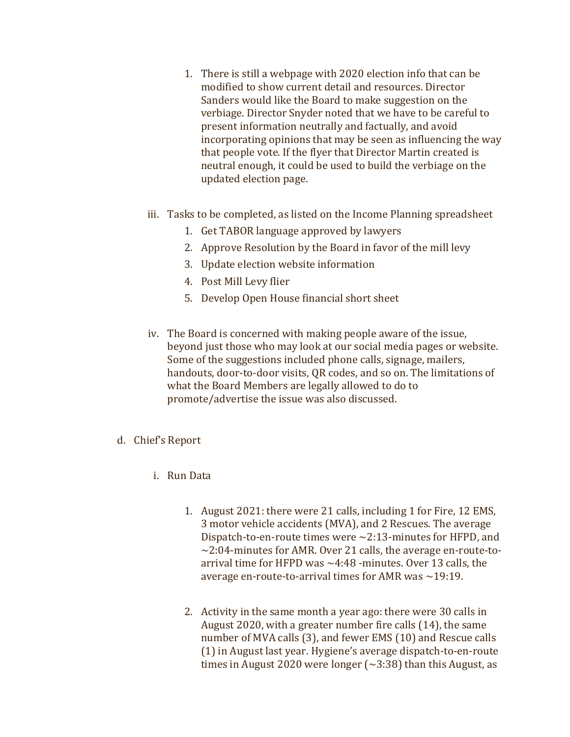- 1. There is still a webpage with 2020 election info that can be modified to show current detail and resources. Director Sanders would like the Board to make suggestion on the verbiage. Director Snyder noted that we have to be careful to present information neutrally and factually, and avoid incorporating opinions that may be seen as influencing the way that people vote. If the flyer that Director Martin created is neutral enough, it could be used to build the verbiage on the updated election page.
- iii. Tasks to be completed, as listed on the Income Planning spreadsheet
	- 1. Get TABOR language approved by lawyers
	- 2. Approve Resolution by the Board in favor of the mill levy
	- 3. Update election website information
	- 4. Post Mill Levy flier
	- 5. Develop Open House financial short sheet
- iv. The Board is concerned with making people aware of the issue, beyond just those who may look at our social media pages or website. Some of the suggestions included phone calls, signage, mailers, handouts, door-to-door visits, QR codes, and so on. The limitations of what the Board Members are legally allowed to do to promote/advertise the issue was also discussed.
- d. Chief's Report
	- i. Run Data
		- 1. August 2021: there were 21 calls, including 1 for Fire, 12 EMS, 3 motor vehicle accidents (MVA), and 2 Rescues. The average Dispatch-to-en-route times were ~2:13-minutes for HFPD, and  $\sim$ 2:04-minutes for AMR. Over 21 calls, the average en-route-toarrival time for HFPD was ~4:48 -minutes. Over 13 calls, the average en-route-to-arrival times for AMR was  $\sim$ 19:19.
		- 2. Activity in the same month a year ago: there were 30 calls in August 2020, with a greater number fire calls (14), the same number of MVA calls (3), and fewer EMS (10) and Rescue calls (1) in August last year. Hygiene's average dispatch-to-en-route times in August 2020 were longer  $(\sim 3:38)$  than this August, as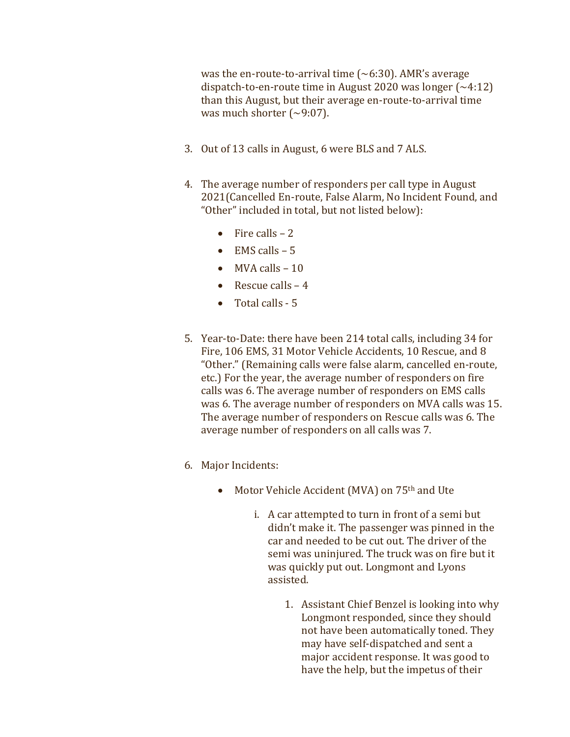was the en-route-to-arrival time  $({\sim}6:30)$ . AMR's average dispatch-to-en-route time in August 2020 was longer  $(-4.12)$ than this August, but their average en-route-to-arrival time was much shorter  $(\sim 9:07)$ .

- 3. Out of 13 calls in August, 6 were BLS and 7 ALS.
- 4. The average number of responders per call type in August 2021(Cancelled En-route, False Alarm, No Incident Found, and "Other" included in total, but not listed below):
	- $\bullet$  Fire calls 2
	- $\bullet$  EMS calls 5
	- $\bullet$  MVA calls  $-10$
	- Rescue calls  $-4$
	- Total calls 5
- 5. Year-to-Date: there have been 214 total calls, including 34 for Fire, 106 EMS, 31 Motor Vehicle Accidents, 10 Rescue, and 8 "Other." (Remaining calls were false alarm, cancelled en-route, etc.) For the year, the average number of responders on fire calls was 6. The average number of responders on EMS calls was 6. The average number of responders on MVA calls was 15. The average number of responders on Rescue calls was 6. The average number of responders on all calls was 7.
- 6. Major Incidents:
	- Motor Vehicle Accident (MVA) on 75<sup>th</sup> and Ute
		- i. A car attempted to turn in front of a semi but didn't make it. The passenger was pinned in the car and needed to be cut out. The driver of the semi was uninjured. The truck was on fire but it was quickly put out. Longmont and Lyons assisted.
			- 1. Assistant Chief Benzel is looking into why Longmont responded, since they should not have been automatically toned. They may have self-dispatched and sent a major accident response. It was good to have the help, but the impetus of their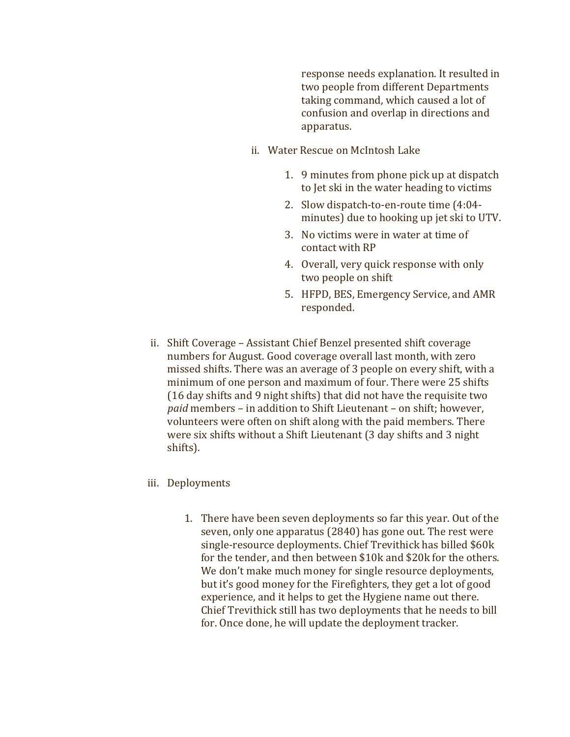response needs explanation. It resulted in two people from different Departments taking command, which caused a lot of confusion and overlap in directions and apparatus.

- ii. Water Rescue on McIntosh Lake
	- 1. 9 minutes from phone pick up at dispatch to Jet ski in the water heading to victims
	- 2. Slow dispatch-to-en-route time (4:04 minutes) due to hooking up jet ski to UTV.
	- 3. No victims were in water at time of contact with RP
	- 4. Overall, very quick response with only two people on shift
	- 5. HFPD, BES, Emergency Service, and AMR responded.
- ii. Shift Coverage Assistant Chief Benzel presented shift coverage numbers for August. Good coverage overall last month, with zero missed shifts. There was an average of 3 people on every shift, with a minimum of one person and maximum of four. There were 25 shifts (16 day shifts and 9 night shifts) that did not have the requisite two paid members – in addition to Shift Lieutenant – on shift; however, volunteers were often on shift along with the paid members. There were six shifts without a Shift Lieutenant (3 day shifts and 3 night shifts).
- iii. Deployments
	- 1. There have been seven deployments so far this year. Out of the seven, only one apparatus (2840) has gone out. The rest were single-resource deployments. Chief Trevithick has billed \$60k for the tender, and then between \$10k and \$20k for the others. We don't make much money for single resource deployments, but it's good money for the Firefighters, they get a lot of good experience, and it helps to get the Hygiene name out there. Chief Trevithick still has two deployments that he needs to bill for. Once done, he will update the deployment tracker.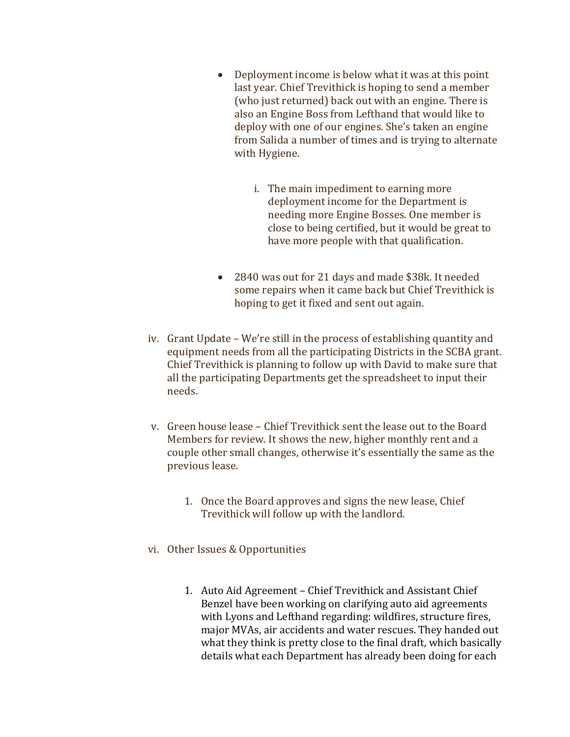- Deployment income is below what it was at this point last year. Chief Trevithick is hoping to send a member (who just returned) back out with an engine. There is also an Engine Boss from Lefthand that would like to deploy with one of our engines. She's taken an engine from Salida a number of times and is trying to alternate with Hygiene.
	- i. The main impediment to earning more deployment income for the Department is needing more Engine Bosses. One member is close to being certified, but it would be great to have more people with that qualification.
- 2840 was out for 21 days and made \$38k. It needed some repairs when it came back but Chief Trevithick is hoping to get it fixed and sent out again.
- iv. Grant Update We're still in the process of establishing quantity and equipment needs from all the participating Districts in the SCBA grant. Chief Trevithick is planning to follow up with David to make sure that all the participating Departments get the spreadsheet to input their needs.
- v. Green house lease Chief Trevithick sent the lease out to the Board Members for review. It shows the new, higher monthly rent and a couple other small changes, otherwise it's essentially the same as the previous lease.
	- 1. Once the Board approves and signs the new lease, Chief Trevithick will follow up with the landlord.
- vi. Other Issues & Opportunities
	- 1. Auto Aid Agreement Chief Trevithick and Assistant Chief Benzel have been working on clarifying auto aid agreements with Lyons and Lefthand regarding: wildfires, structure fires, major MVAs, air accidents and water rescues. They handed out what they think is pretty close to the final draft, which basically details what each Department has already been doing for each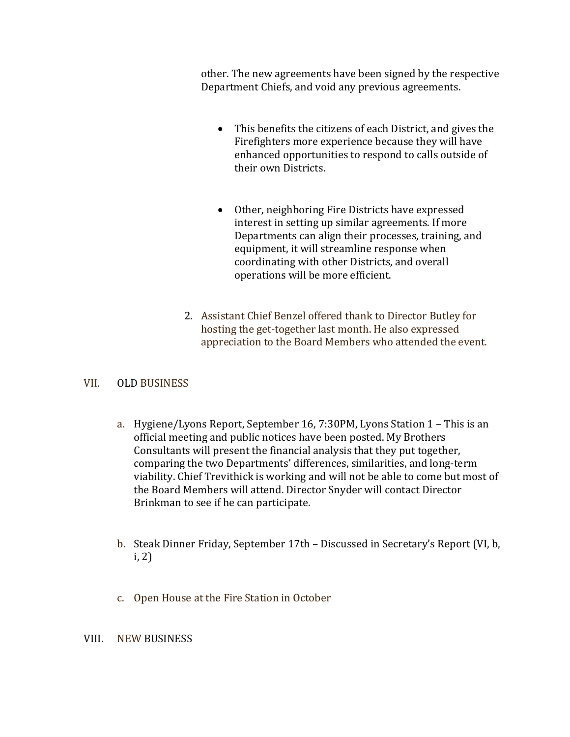other. The new agreements have been signed by the respective Department Chiefs, and void any previous agreements.

- This benefits the citizens of each District, and gives the Firefighters more experience because they will have enhanced opportunities to respond to calls outside of their own Districts.
- Other, neighboring Fire Districts have expressed interest in setting up similar agreements. If more Departments can align their processes, training, and equipment, it will streamline response when coordinating with other Districts, and overall operations will be more efficient.
- 2. Assistant Chief Benzel offered thank to Director Butley for hosting the get-together last month. He also expressed appreciation to the Board Members who attended the event.

## VII. OLD BUSINESS

- a. Hygiene/Lyons Report, September 16, 7:30PM, Lyons Station 1 This is an official meeting and public notices have been posted. My Brothers Consultants will present the financial analysis that they put together, comparing the two Departments' differences, similarities, and long-term viability. Chief Trevithick is working and will not be able to come but most of the Board Members will attend. Director Snyder will contact Director Brinkman to see if he can participate.
- b. Steak Dinner Friday, September 17th Discussed in Secretary's Report (VI, b, i, 2)
- c. Open House at the Fire Station in October

## VIII. NEW BUSINESS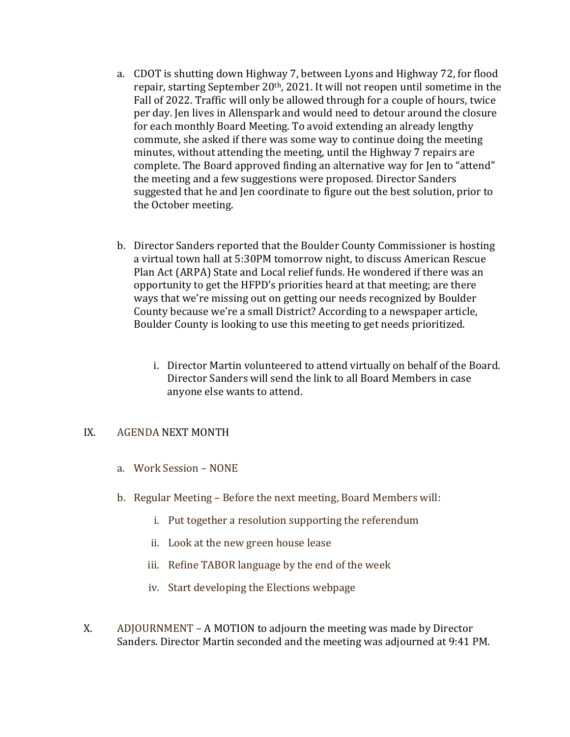- a. CDOT is shutting down Highway 7, between Lyons and Highway 72, for flood repair, starting September 20th, 2021. It will not reopen until sometime in the Fall of 2022. Traffic will only be allowed through for a couple of hours, twice per day. Jen lives in Allenspark and would need to detour around the closure for each monthly Board Meeting. To avoid extending an already lengthy commute, she asked if there was some way to continue doing the meeting minutes, without attending the meeting, until the Highway 7 repairs are complete. The Board approved finding an alternative way for Jen to "attend" the meeting and a few suggestions were proposed. Director Sanders suggested that he and Jen coordinate to figure out the best solution, prior to the October meeting.
- b. Director Sanders reported that the Boulder County Commissioner is hosting a virtual town hall at 5:30PM tomorrow night, to discuss American Rescue Plan Act (ARPA) State and Local relief funds. He wondered if there was an opportunity to get the HFPD's priorities heard at that meeting; are there ways that we're missing out on getting our needs recognized by Boulder County because we're a small District? According to a newspaper article, Boulder County is looking to use this meeting to get needs prioritized.
	- i. Director Martin volunteered to attend virtually on behalf of the Board. Director Sanders will send the link to all Board Members in case anyone else wants to attend.

### IX. AGENDA NEXT MONTH

- a. Work Session NONE
- b. Regular Meeting Before the next meeting, Board Members will:
	- i. Put together a resolution supporting the referendum
	- ii. Look at the new green house lease
	- iii. Refine TABOR language by the end of the week
	- iv. Start developing the Elections webpage
- X. ADJOURNMENT A MOTION to adjourn the meeting was made by Director Sanders. Director Martin seconded and the meeting was adjourned at 9:41 PM.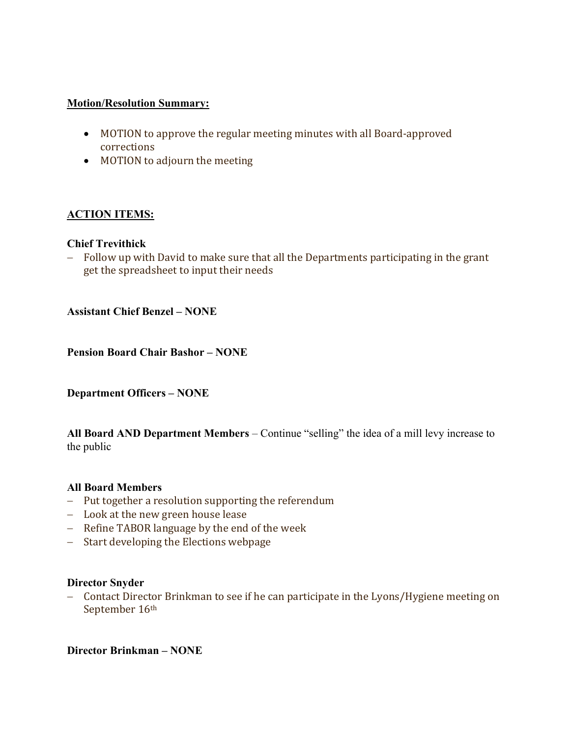### Motion/Resolution Summary:

- MOTION to approve the regular meeting minutes with all Board-approved corrections
- MOTION to adjourn the meeting

# ACTION ITEMS:

## Chief Trevithick

- Follow up with David to make sure that all the Departments participating in the grant get the spreadsheet to input their needs

Assistant Chief Benzel – NONE

Pension Board Chair Bashor – NONE

Department Officers – NONE

All Board AND Department Members – Continue "selling" the idea of a mill levy increase to the public

#### All Board Members

- Put together a resolution supporting the referendum
- Look at the new green house lease
- Refine TABOR language by the end of the week
- Start developing the Elections webpage

#### Director Snyder

- Contact Director Brinkman to see if he can participate in the Lyons/Hygiene meeting on September 16th

Director Brinkman – NONE